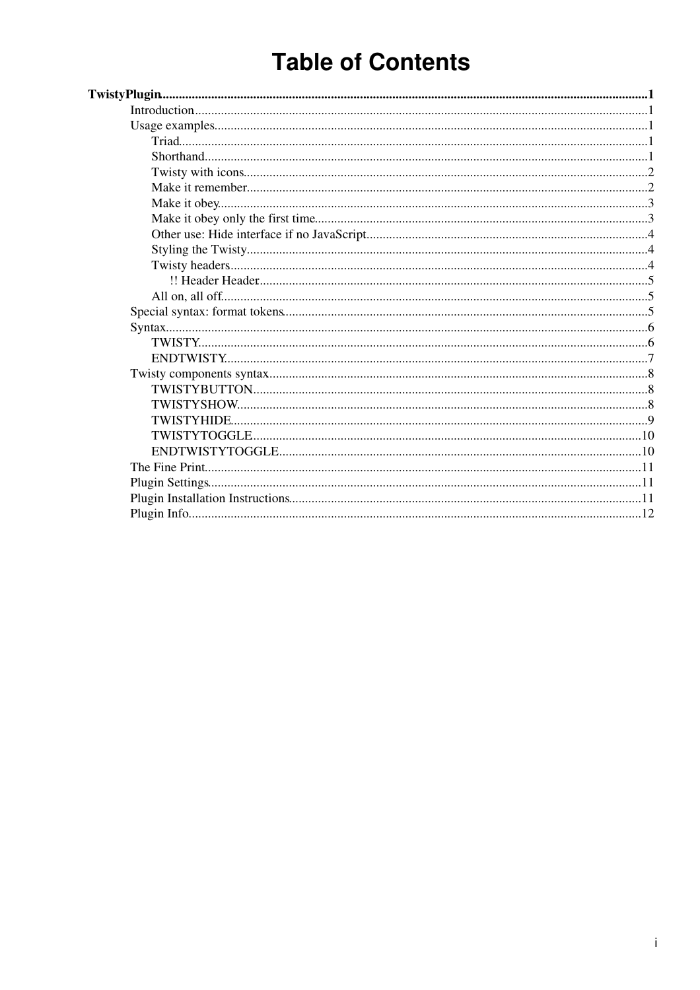# **Table of Contents**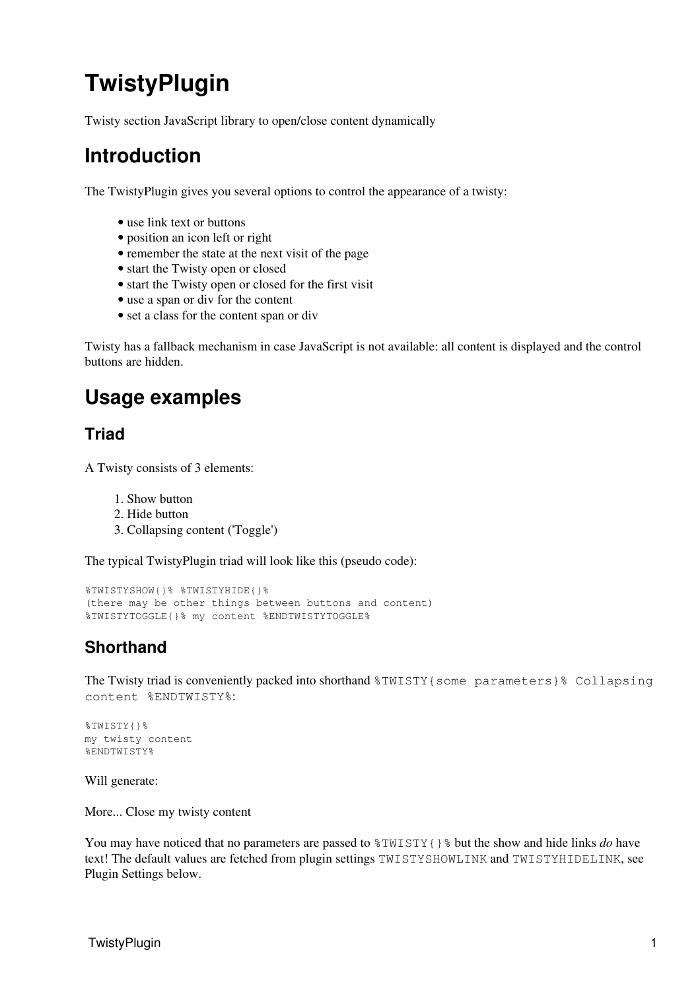# <span id="page-1-0"></span>**TwistyPlugin**

Twisty section JavaScript library to open/close content dynamically

## <span id="page-1-1"></span>**Introduction**

The TwistyPlugin gives you several options to control the appearance of a twisty:

- use link text or buttons
- position an icon left or right
- remember the state at the next visit of the page
- start the Twisty open or closed
- start the Twisty open or closed for the first visit
- use a span or div for the content
- set a class for the content span or div

Twisty has a fallback mechanism in case JavaScript is not available: all content is displayed and the control buttons are hidden.

## <span id="page-1-2"></span>**Usage examples**

#### <span id="page-1-3"></span>**Triad**

A Twisty consists of 3 elements:

- 1. Show button
- 2. Hide button
- 3. Collapsing content ('Toggle')

The typical TwistyPlugin triad will look like this (pseudo code):

```
%TWISTYSHOW{}% %TWISTYHIDE{}%
(there may be other things between buttons and content)
%TWISTYTOGGLE{}% my content %ENDTWISTYTOGGLE%
```
### <span id="page-1-4"></span>**Shorthand**

The Twisty triad is conveniently packed into shorthand  $\frac{2W}{S}$  some parameters} collapsing content %ENDTWISTY%:

```
%TWISTY{}%
my twisty content
%ENDTWISTY%
```
Will generate:

More... Close my twisty content

You may have noticed that no parameters are passed to %TWISTY{}% but the show and hide links *do* have text! The default values are fetched from plugin settings TWISTYSHOWLINK and TWISTYHIDELINK, see Plugin Settings below.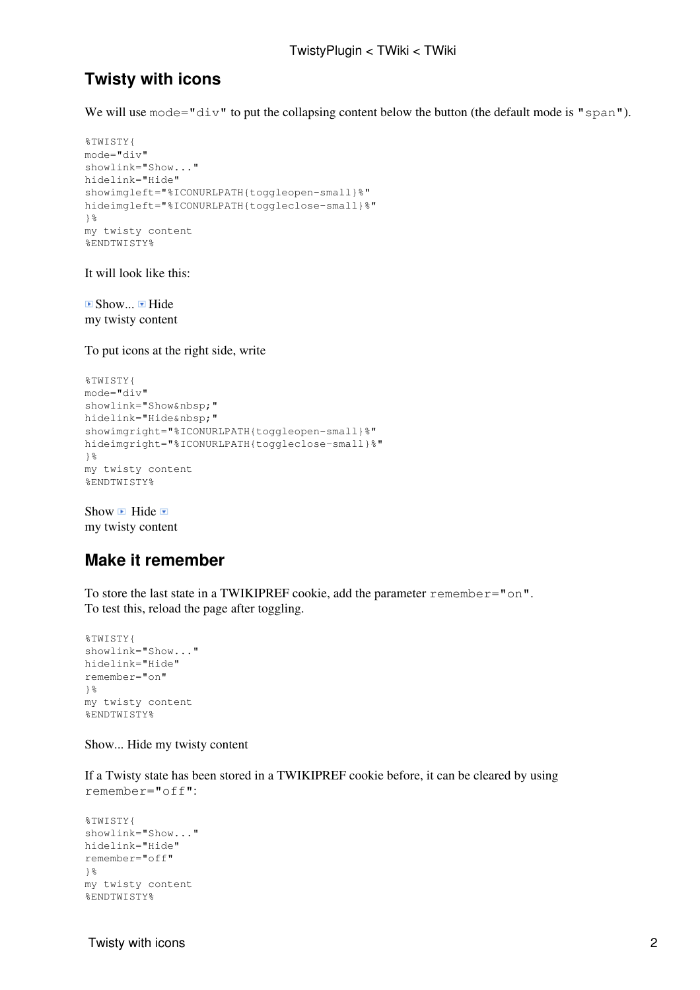#### <span id="page-2-0"></span>**Twisty with icons**

We will use  $\text{mode} = \text{"div"}$  to put the collapsing content below the button (the default mode is "span").

```
%TWISTY{
mode="div"
showlink="Show..."
hidelink="Hide"
showimgleft="%ICONURLPATH{toggleopen-small}%"
hideimgleft="%ICONURLPATH{toggleclose-small}%"
}%
my twisty content
%ENDTWISTY%
```
It will look like this:

 $\blacksquare$  Show...  $\blacksquare$  Hide my twisty content

To put icons at the right side, write

```
%TWISTY{
mode="div"
showlink="Show "
hidelink="Hide "
showimgright="%ICONURLPATH{toggleopen-small}%"
hideimgright="%ICONURLPATH{toggleclose-small}%"
}%
my twisty content
%ENDTWISTY%
```
Show  $\blacksquare$  Hide  $\blacksquare$ my twisty content

#### <span id="page-2-1"></span>**Make it remember**

To store the last state in a TWIKIPREF cookie, add the parameter remember= $"$ on". To test this, reload the page after toggling.

```
%TWISTY{
showlink="Show..."
hidelink="Hide"
remember="on"
}%
my twisty content
%ENDTWISTY%
```
Show... Hide my twisty content

If a Twisty state has been stored in a TWIKIPREF cookie before, it can be cleared by using remember="off":

```
%TWISTY{
showlink="Show..."
hidelink="Hide"
remember="off"
}%
my twisty content
%ENDTWISTY%
```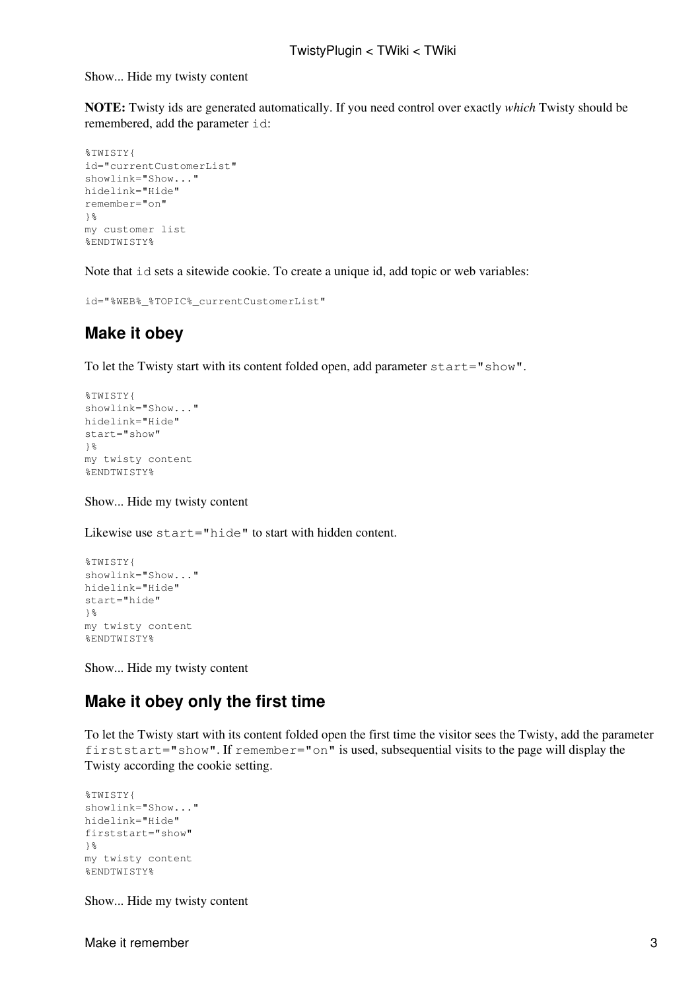Show... Hide my twisty content

**NOTE:** Twisty ids are generated automatically. If you need control over exactly *which* Twisty should be remembered, add the parameter id:

```
%TWISTY{
id="currentCustomerList"
showlink="Show..."
hidelink="Hide"
remember="on"
\frac{1}{6}my customer list
%ENDTWISTY%
```
Note that  $id$  sets a sitewide cookie. To create a unique id, add topic or web variables:

```
id="%WEB%_%TOPIC%_currentCustomerList"
```
#### <span id="page-3-0"></span>**Make it obey**

To let the Twisty start with its content folded open, add parameter start="show".

```
%TWISTY{
showlink="Show..."
hidelink="Hide"
start="show"
\frac{1}{8}my twisty content
%ENDTWISTY%
```
Show... Hide my twisty content

Likewise use start="hide" to start with hidden content.

```
%TWISTY{
showlink="Show..."
hidelink="Hide"
start="hide"
}%
my twisty content
%ENDTWISTY%
```
Show... Hide my twisty content

#### <span id="page-3-1"></span>**Make it obey only the first time**

To let the Twisty start with its content folded open the first time the visitor sees the Twisty, add the parameter firststart="show". If remember="on" is used, subsequential visits to the page will display the Twisty according the cookie setting.

```
%TWISTY{
showlink="Show..."
hidelink="Hide"
firststart="show"
}%
my twisty content
%ENDTWISTY%
```
Show... Hide my twisty content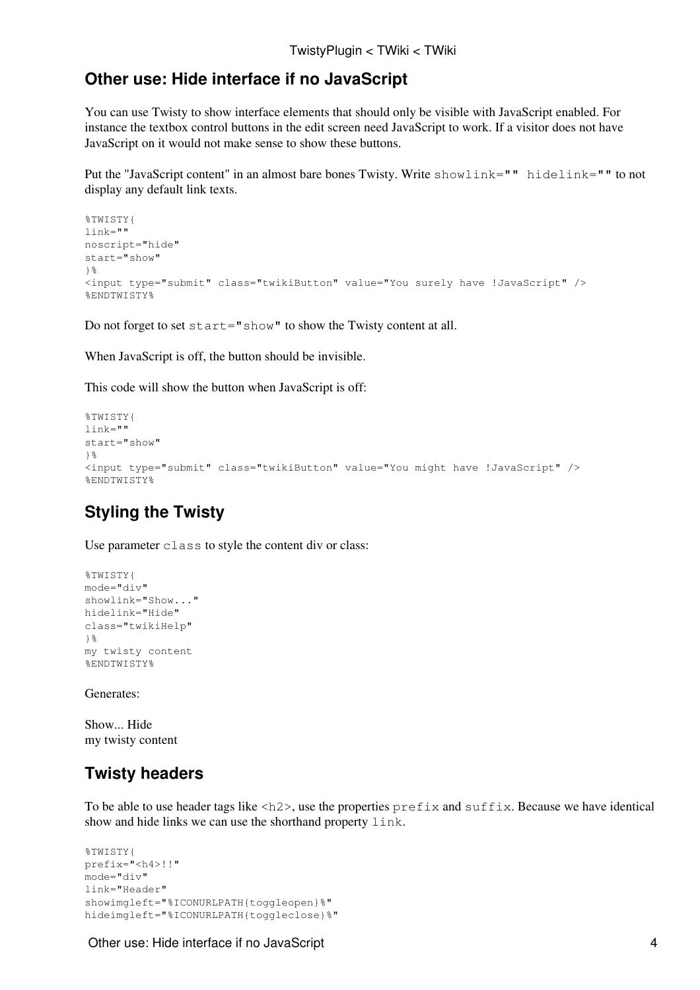#### <span id="page-4-0"></span>**Other use: Hide interface if no JavaScript**

You can use Twisty to show interface elements that should only be visible with JavaScript enabled. For instance the textbox control buttons in the edit screen need JavaScript to work. If a visitor does not have JavaScript on it would not make sense to show these buttons.

Put the "JavaScript content" in an almost bare bones Twisty. Write showlink="" hidelink="" to not display any default link texts.

```
%TWISTY{
link=""
noscript="hide"
start="show"
}%
<input type="submit" class="twikiButton" value="You surely have !JavaScript" />
%ENDTWISTY%
```
Do not forget to set start="show" to show the Twisty content at all.

When JavaScript is off, the button should be invisible.

This code will show the button when JavaScript is off:

```
%TWISTY{
link=""
start="show"
}%
<input type="submit" class="twikiButton" value="You might have !JavaScript" />
%ENDTWISTY%
```
#### <span id="page-4-1"></span>**Styling the Twisty**

Use parameter class to style the content div or class:

```
%TWISTY{
mode="div"
showlink="Show..."
hidelink="Hide"
class="twikiHelp"
}%
my twisty content
%ENDTWISTY%
```
Generates:

Show... Hide my twisty content

#### <span id="page-4-2"></span>**Twisty headers**

To be able to use header tags like  $\langle h2 \rangle$ , use the properties  $\text{prefix}$  and suffix. Because we have identical show and hide links we can use the shorthand property link.

```
%TWISTY{
prefix="<h4>!!"
mode="div"
link="Header"
showimgleft="%ICONURLPATH{toggleopen}%"
hideimgleft="%ICONURLPATH{toggleclose}%"
```
#### Other use: Hide interface if no JavaScript 4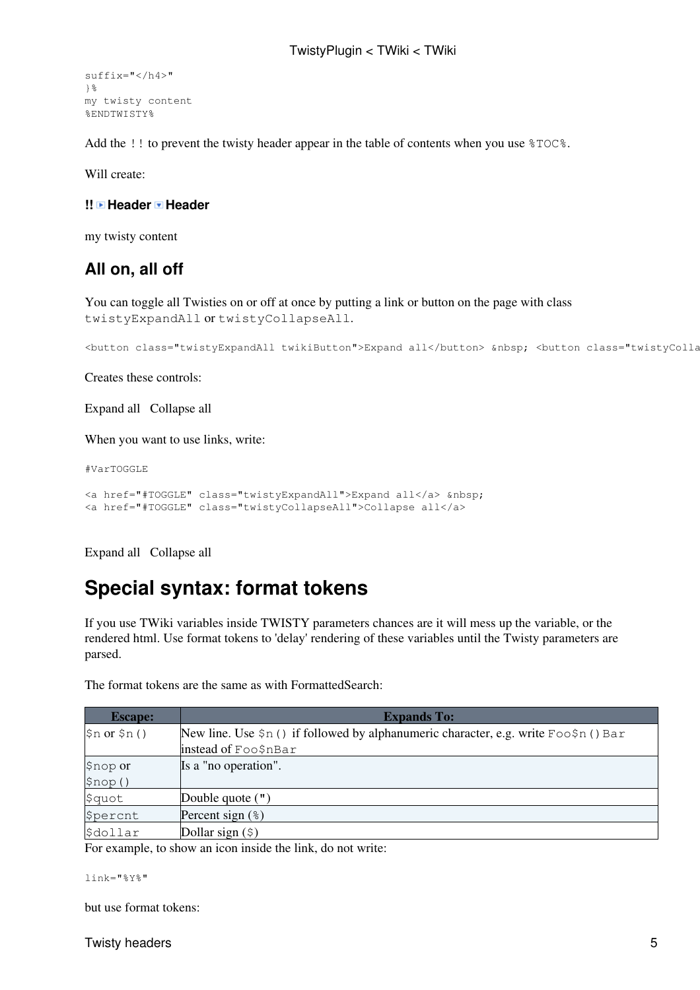```
suffix="</h4>"
}%
my twisty content
%ENDTWISTY%
```
Add the !! to prevent the twisty header appear in the table of contents when you use %TOC%.

Will create:

#### <span id="page-5-0"></span>**!! Header Header**

my twisty content

#### <span id="page-5-1"></span>**All on, all off**

You can toggle all Twisties on or off at once by putting a link or button on the page with class twistyExpandAll or twistyCollapseAll.

```
<button class="twistyExpandAll twikiButton">Expand all</button> &nbsp; <button class="twistyCollapseAll twikiButton">Collapse all</button>
```
Creates these controls:

Expand all Collapse all

When you want to use links, write:

#VarTOGGLE

```
<a href="#TOGGLE" class="twistyExpandAll">Expand all</a> &nbsp; 
<a href="#TOGGLE" class="twistyCollapseAll">Collapse all</a>
```
Expand all Collapse all

## <span id="page-5-2"></span>**Special syntax: format tokens**

If you use TWiki variables inside TWISTY parameters chances are it will mess up the variable, or the rendered html. Use format tokens to 'delay' rendering of these variables until the Twisty parameters are parsed.

The format tokens are the same as with [FormattedSearch](https://wiki-igi.cnaf.infn.it/twiki/bin/view/TWiki/FormattedSearch):

| <b>Escape:</b>        | <b>Expands To:</b>                                                                          |
|-----------------------|---------------------------------------------------------------------------------------------|
| $sin$ or $sin()$      | New line. Use $\sin$ () if followed by alphanumeric character, e.g. write Foo $\sin$ () Bar |
|                       | instead of Foo\$nBar                                                                        |
| \$nop or              | Is a "no operation".                                                                        |
| \$nop()               |                                                                                             |
| \$quot                | Double quote $(")$                                                                          |
| <i><b>Spercnt</b></i> | Percent sign $(*)$                                                                          |
| \$dollar              | Dollar sign $(\hat{z})$                                                                     |

For example, to show an icon inside the link, do not write:

```
link="%Y%"
```
but use format tokens:

Twisty headers 5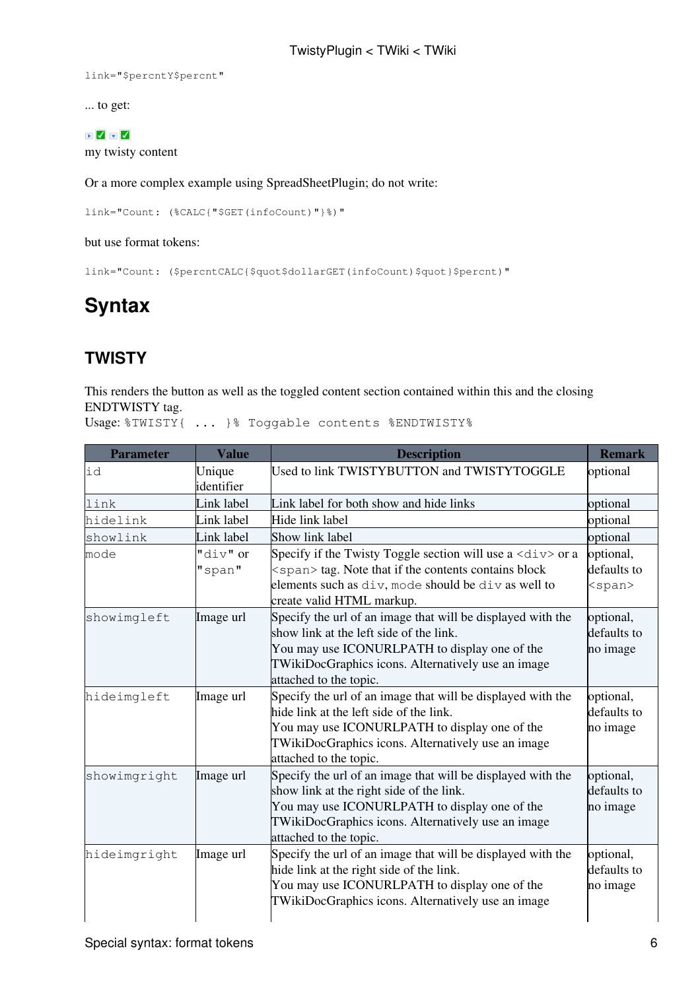link="\$percntY\$percnt"

... to get:

#### $\begin{array}{c} \hline \textbf{I} & \textbf{I} & \textbf{I} \end{array}$

my twisty content

Or a more complex example using [SpreadSheetPlugin](https://wiki-igi.cnaf.infn.it/twiki/bin/view/TWiki/SpreadSheetPlugin); do not write:

link="Count: (%CALC{"\$GET(infoCount)"}%)"

but use format tokens:

link="Count: (\$percntCALC{\$quot\$dollarGET(infoCount)\$quot}\$percnt)"

## <span id="page-6-0"></span>**Syntax**

### <span id="page-6-1"></span>**TWISTY**

This renders the button as well as the toggled content section contained within this and the closing ENDTWISTY tag.

Usage: %TWISTY{ ... }% Toggable contents %ENDTWISTY%

| <b>Parameter</b> | <b>Value</b>         | <b>Description</b>                                                                                                                                                                                                                       | <b>Remark</b>                             |
|------------------|----------------------|------------------------------------------------------------------------------------------------------------------------------------------------------------------------------------------------------------------------------------------|-------------------------------------------|
| id               | Unique<br>identifier | Used to link TWISTYBUTTON and TWISTYTOGGLE                                                                                                                                                                                               | optional                                  |
| link             | Link label           | Link label for both show and hide links                                                                                                                                                                                                  | optional                                  |
| hidelink         | Link label           | Hide link label                                                                                                                                                                                                                          | optional                                  |
| showlink         | Link label           | Show link label                                                                                                                                                                                                                          | optional                                  |
| mode             | "div" or<br>"span"   | Specify if the Twisty Toggle section will use a $\langle \text{div} \rangle$ or a<br><span> tag. Note that if the contents contains block<br/>elements such as div, mode should be div as well to<br/>create valid HTML markup.</span>   | optional,<br>defaults to<br><span></span> |
| showimgleft      | Image url            | Specify the url of an image that will be displayed with the<br>show link at the left side of the link.<br>You may use ICONURLPATH to display one of the<br>TWikiDocGraphics icons. Alternatively use an image<br>attached to the topic.  | optional,<br>defaults to<br>no image      |
| hideimgleft      | Image url            | Specify the url of an image that will be displayed with the<br>hide link at the left side of the link.<br>You may use ICONURLPATH to display one of the<br>TWikiDocGraphics icons. Alternatively use an image<br>attached to the topic.  | optional,<br>defaults to<br>no image      |
| showimgright     | Image url            | Specify the url of an image that will be displayed with the<br>show link at the right side of the link.<br>You may use ICONURLPATH to display one of the<br>TWikiDocGraphics icons. Alternatively use an image<br>attached to the topic. | optional,<br>defaults to<br>no image      |
| hideimgright     | Image url            | Specify the url of an image that will be displayed with the<br>hide link at the right side of the link.<br>You may use ICONURLPATH to display one of the<br>TWikiDocGraphics icons. Alternatively use an image                           | optional,<br>defaults to<br>no image      |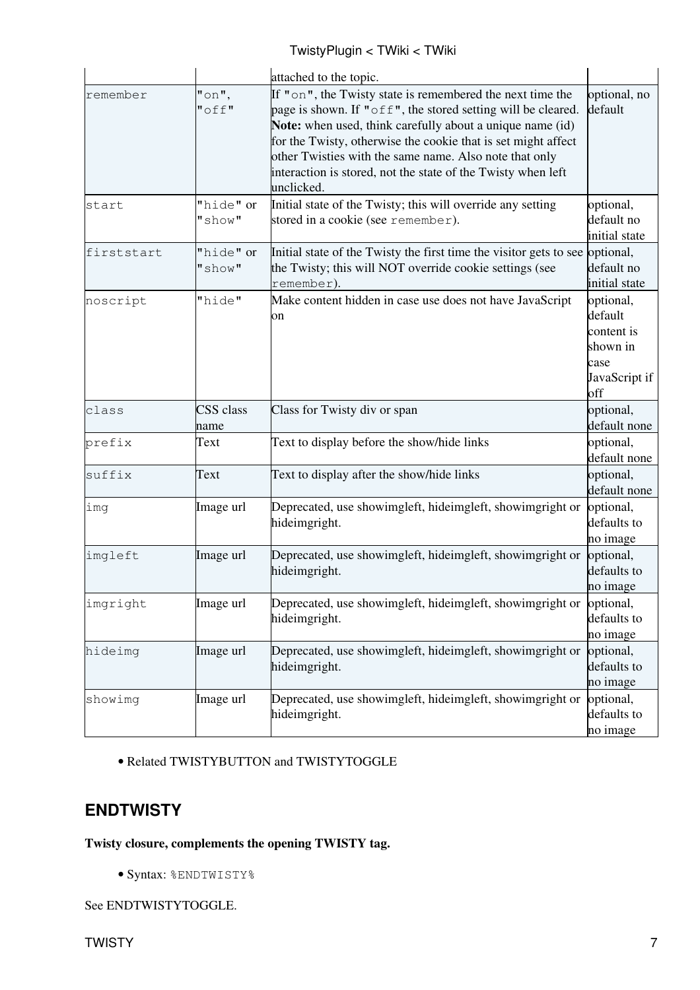|            |                      | attached to the topic.                                                                                                                                                                                                                                                                                                                                                                          |                                                                                |
|------------|----------------------|-------------------------------------------------------------------------------------------------------------------------------------------------------------------------------------------------------------------------------------------------------------------------------------------------------------------------------------------------------------------------------------------------|--------------------------------------------------------------------------------|
| remember   | $"$ on",<br>$"$ off" | If "on", the Twisty state is remembered the next time the<br>page is shown. If "off", the stored setting will be cleared.<br>Note: when used, think carefully about a unique name (id)<br>for the Twisty, otherwise the cookie that is set might affect<br>other Twisties with the same name. Also note that only<br>interaction is stored, not the state of the Twisty when left<br>unclicked. | optional, no<br>default                                                        |
| start      | "hide" or<br>"show"  | Initial state of the Twisty; this will override any setting<br>stored in a cookie (see remember).                                                                                                                                                                                                                                                                                               | optional,<br>default no<br>initial state                                       |
| firststart | "hide" or<br>"show"  | Initial state of the Twisty the first time the visitor gets to see<br>the Twisty; this will NOT override cookie settings (see<br>remember).                                                                                                                                                                                                                                                     | optional,<br>default no<br>initial state                                       |
| noscript   | "hide"               | Make content hidden in case use does not have JavaScript<br>on                                                                                                                                                                                                                                                                                                                                  | optional,<br>default<br>content is<br>shown in<br>case<br>JavaScript if<br>off |
| class      | CSS class<br>name    | Class for Twisty div or span                                                                                                                                                                                                                                                                                                                                                                    | optional,<br>default none                                                      |
| prefix     | Text                 | Text to display before the show/hide links                                                                                                                                                                                                                                                                                                                                                      | optional,<br>default none                                                      |
| suffix     | Text                 | Text to display after the show/hide links                                                                                                                                                                                                                                                                                                                                                       | optional,<br>default none                                                      |
| img        | Image url            | Deprecated, use showimgleft, hideimgleft, showimgright or<br>hideimgright.                                                                                                                                                                                                                                                                                                                      | optional,<br>defaults to<br>no image                                           |
| imgleft    | Image url            | Deprecated, use showimgleft, hideimgleft, showimgright or<br>hideimgright.                                                                                                                                                                                                                                                                                                                      | optional,<br>defaults to<br>no image                                           |
| imgright   | Image url            | Deprecated, use showimgleft, hideimgleft, showimgright or<br>hideimgright.                                                                                                                                                                                                                                                                                                                      | optional,<br>defaults to<br>no image                                           |
| hideimg    | Image url            | Deprecated, use showimgleft, hideimgleft, showimgright or<br>hideimgright.                                                                                                                                                                                                                                                                                                                      | optional,<br>defaults to<br>no image                                           |
| showimq    | Image url            | Deprecated, use showimgleft, hideimgleft, showimgright or<br>hideimgright.                                                                                                                                                                                                                                                                                                                      | optional,<br>defaults to<br>no image                                           |

• Related TWISTYBUTTON and TWISTYTOGGLE

### <span id="page-7-0"></span>**ENDTWISTY**

#### **Twisty closure, complements the opening TWISTY tag.**

• Syntax: %ENDTWISTY%

See ENDTWISTYTOGGLE.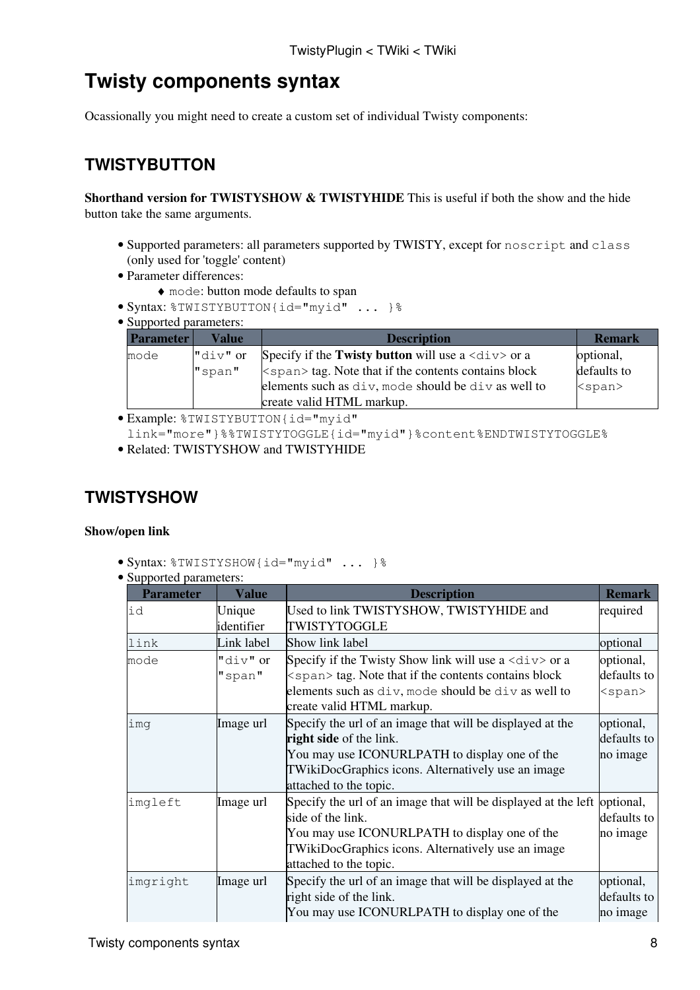## <span id="page-8-0"></span>**Twisty components syntax**

Ocassionally you might need to create a custom set of individual Twisty components:

### <span id="page-8-1"></span>**TWISTYBUTTON**

**Shorthand version for TWISTYSHOW & TWISTYHIDE** This is useful if both the show and the hide button take the same arguments.

- Supported parameters: all parameters supported by TWISTY, except for noscript and class (only used for 'toggle' content)
- Parameter differences:
	- ♦ mode: button mode defaults to span
- Syntax: %TWISTYBUTTON{id="myid" ... }%
- Supported parameters:

| <b>Parameter</b> | Value      | <b>Description</b>                                                        | <b>Remark</b> |
|------------------|------------|---------------------------------------------------------------------------|---------------|
| mode             | $"div"$ or | Specify if the Twisty button will use a $\langle \text{div} \rangle$ or a | optional,     |
|                  | "span"     | $\leq$ span $>$ tag. Note that if the contents contains block             | defaults to   |
|                  |            | elements such as div, mode should be div as well to                       | <span></span> |
|                  |            | create valid HTML markup.                                                 |               |

· Example: %TWISTYBUTTON{id="myid"

- link="more"}%%TWISTYTOGGLE{id="myid"}%content%ENDTWISTYTOGGLE%
- Related: TWISTYSHOW and TWISTYHIDE

#### <span id="page-8-2"></span>**TWISTYSHOW**

#### **Show/open link**

- Syntax: %TWISTYSHOW{id="myid" ... }%
- Supported parameters:

| supported parameters.<br><b>Parameter</b> | <b>Value</b>         | <b>Description</b>                                                                                                                                                                                                                | <b>Remark</b>                            |
|-------------------------------------------|----------------------|-----------------------------------------------------------------------------------------------------------------------------------------------------------------------------------------------------------------------------------|------------------------------------------|
| id                                        | Unique<br>identifier | Used to link TWISTYSHOW, TWISTYHIDE and<br>TWISTYTOGGLE                                                                                                                                                                           | required                                 |
| link                                      | Link label           | Show link label                                                                                                                                                                                                                   | optional                                 |
| mode                                      | "div" or<br>"span"   | Specify if the Twisty Show link will use a $\langle \text{div} \rangle$ or a<br><span> tag. Note that if the contents contains block<br/>elements such as div, mode should be div as well to<br/>create valid HTML markup.</span> | optional,<br>defaults to<br>$<$ span $>$ |
| imq                                       | Image url            | Specify the url of an image that will be displayed at the<br>right side of the link.<br>You may use ICONURLPATH to display one of the<br>TWikiDocGraphics icons. Alternatively use an image<br>attached to the topic.             | optional,<br>defaults to<br>no image     |
| imgleft                                   | Image url            | Specify the url of an image that will be displayed at the left<br>side of the link.<br>You may use ICONURLPATH to display one of the<br>TWikiDocGraphics icons. Alternatively use an image<br>attached to the topic.              | optional,<br>defaults to<br>no image     |
| imgright                                  | Image url            | Specify the url of an image that will be displayed at the<br>right side of the link.<br>You may use ICONURLPATH to display one of the                                                                                             | optional,<br>defaults to<br>no image     |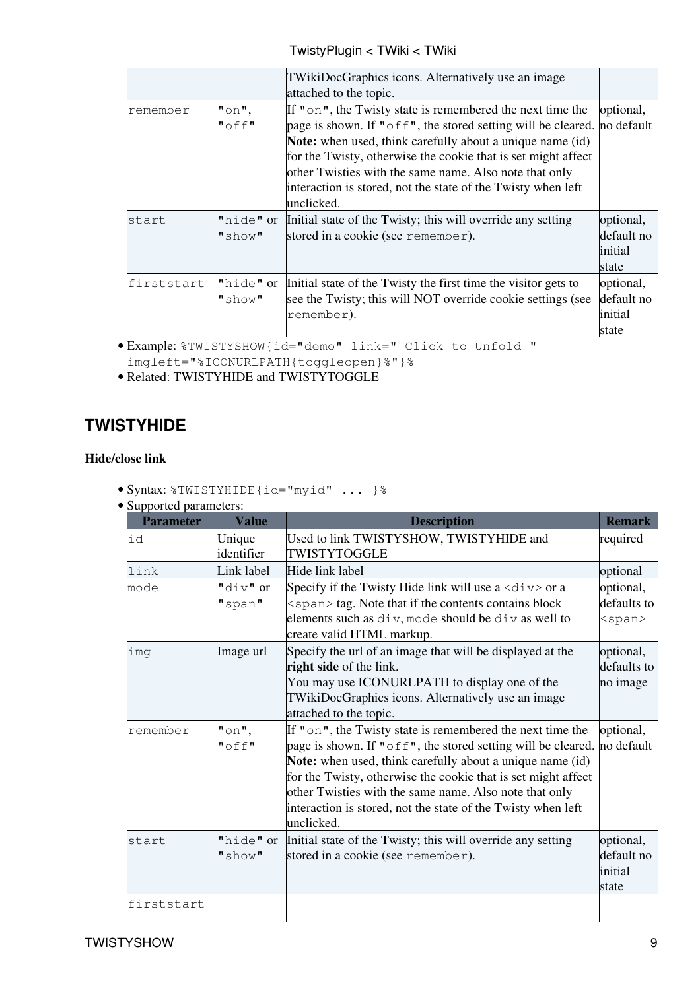#### TwistyPlugin < TWiki < TWiki

|            |                      | TWikiDocGraphics icons. Alternatively use an image<br>attached to the topic.                                                                                                                                                                                                                                                                                                                                           |                                             |
|------------|----------------------|------------------------------------------------------------------------------------------------------------------------------------------------------------------------------------------------------------------------------------------------------------------------------------------------------------------------------------------------------------------------------------------------------------------------|---------------------------------------------|
| remember   | $"$ on",<br>$"$ off" | If "on", the Twisty state is remembered the next time the<br>page is shown. If " $off''$ , the stored setting will be cleared. no default<br><b>Note:</b> when used, think carefully about a unique name (id)<br>for the Twisty, otherwise the cookie that is set might affect<br>other Twisties with the same name. Also note that only<br>interaction is stored, not the state of the Twisty when left<br>unclicked. | optional,                                   |
| start      | "hide" or<br>"show"  | Initial state of the Twisty; this will override any setting<br>stored in a cookie (see remember).                                                                                                                                                                                                                                                                                                                      | optional,<br>default no<br>initial<br>state |
| firststart | "hide" or<br>"show"  | Initial state of the Twisty the first time the visitor gets to<br>see the Twisty; this will NOT override cookie settings (see<br>remember).                                                                                                                                                                                                                                                                            | optional,<br>default no<br>initial<br>state |

Example: %TWISTYSHOW{id="demo" link=" Click to Unfold " •

imgleft="%ICONURLPATH{toggleopen}%"}%

• Related: TWISTYHIDE and TWISTYTOGGLE

### <span id="page-9-0"></span>**TWISTYHIDE**

#### **Hide/close link**

• Syntax: %TWISTYHIDE{id="myid" ... }%

| • Supported parameters: |
|-------------------------|
|-------------------------|

| Used to link TWISTYSHOW, TWISTYHIDE and<br>Specify if the Twisty Hide link will use a $\langle \text{div} \rangle$ or a<br><span> tag. Note that if the contents contains block<br/>elements such as div, mode should be div as well to</span> | required<br>optional<br>optional,<br>defaults to                                                                                                                                                                                                                                                                                                                                                                                                      |
|------------------------------------------------------------------------------------------------------------------------------------------------------------------------------------------------------------------------------------------------|-------------------------------------------------------------------------------------------------------------------------------------------------------------------------------------------------------------------------------------------------------------------------------------------------------------------------------------------------------------------------------------------------------------------------------------------------------|
|                                                                                                                                                                                                                                                |                                                                                                                                                                                                                                                                                                                                                                                                                                                       |
|                                                                                                                                                                                                                                                |                                                                                                                                                                                                                                                                                                                                                                                                                                                       |
|                                                                                                                                                                                                                                                |                                                                                                                                                                                                                                                                                                                                                                                                                                                       |
|                                                                                                                                                                                                                                                |                                                                                                                                                                                                                                                                                                                                                                                                                                                       |
|                                                                                                                                                                                                                                                |                                                                                                                                                                                                                                                                                                                                                                                                                                                       |
|                                                                                                                                                                                                                                                | $<$ span $>$                                                                                                                                                                                                                                                                                                                                                                                                                                          |
|                                                                                                                                                                                                                                                |                                                                                                                                                                                                                                                                                                                                                                                                                                                       |
| Specify the url of an image that will be displayed at the                                                                                                                                                                                      | optional,                                                                                                                                                                                                                                                                                                                                                                                                                                             |
|                                                                                                                                                                                                                                                | defaults to                                                                                                                                                                                                                                                                                                                                                                                                                                           |
| You may use ICONURLPATH to display one of the                                                                                                                                                                                                  | no image                                                                                                                                                                                                                                                                                                                                                                                                                                              |
| TWikiDocGraphics icons. Alternatively use an image                                                                                                                                                                                             |                                                                                                                                                                                                                                                                                                                                                                                                                                                       |
|                                                                                                                                                                                                                                                |                                                                                                                                                                                                                                                                                                                                                                                                                                                       |
|                                                                                                                                                                                                                                                | optional,                                                                                                                                                                                                                                                                                                                                                                                                                                             |
|                                                                                                                                                                                                                                                | no default                                                                                                                                                                                                                                                                                                                                                                                                                                            |
|                                                                                                                                                                                                                                                |                                                                                                                                                                                                                                                                                                                                                                                                                                                       |
|                                                                                                                                                                                                                                                |                                                                                                                                                                                                                                                                                                                                                                                                                                                       |
|                                                                                                                                                                                                                                                |                                                                                                                                                                                                                                                                                                                                                                                                                                                       |
|                                                                                                                                                                                                                                                |                                                                                                                                                                                                                                                                                                                                                                                                                                                       |
|                                                                                                                                                                                                                                                |                                                                                                                                                                                                                                                                                                                                                                                                                                                       |
|                                                                                                                                                                                                                                                | optional,                                                                                                                                                                                                                                                                                                                                                                                                                                             |
|                                                                                                                                                                                                                                                | default no                                                                                                                                                                                                                                                                                                                                                                                                                                            |
|                                                                                                                                                                                                                                                | initial                                                                                                                                                                                                                                                                                                                                                                                                                                               |
| state                                                                                                                                                                                                                                          |                                                                                                                                                                                                                                                                                                                                                                                                                                                       |
|                                                                                                                                                                                                                                                |                                                                                                                                                                                                                                                                                                                                                                                                                                                       |
|                                                                                                                                                                                                                                                | If "on", the Twisty state is remembered the next time the<br>page is shown. If " $of f$ ", the stored setting will be cleared.<br>Note: when used, think carefully about a unique name (id)<br>for the Twisty, otherwise the cookie that is set might affect<br>other Twisties with the same name. Also note that only<br>interaction is stored, not the state of the Twisty when left<br>Initial state of the Twisty; this will override any setting |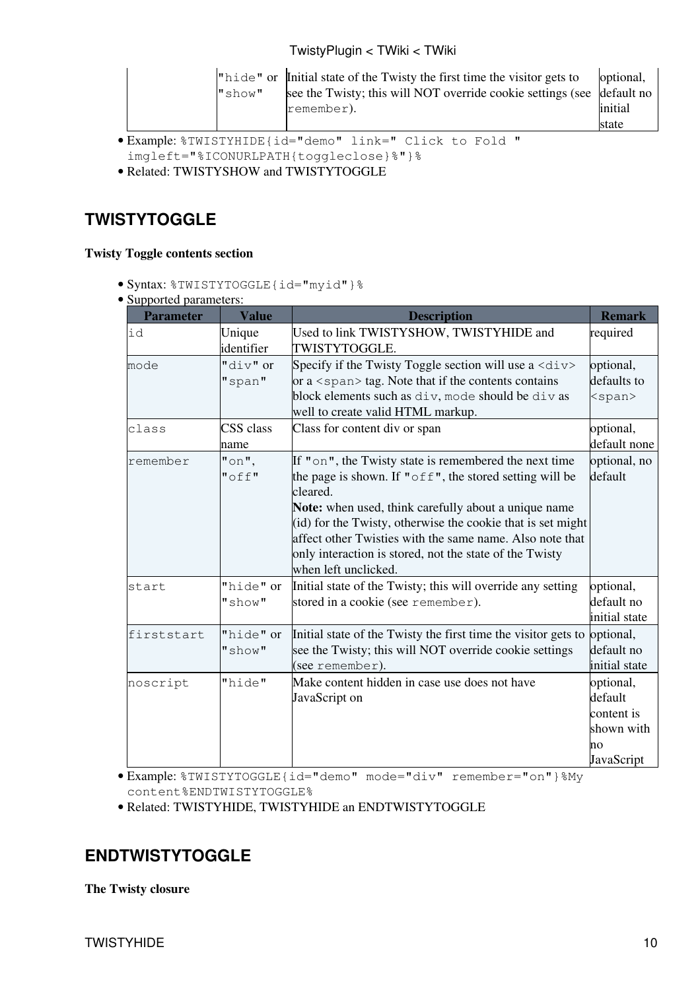|  |        | "hide" or Initial state of the Twisty the first time the visitor gets to | optional, |
|--|--------|--------------------------------------------------------------------------|-----------|
|  | "show" | see the Twisty; this will NOT override cookie settings (see default no   |           |
|  |        | remember).                                                               | initial   |
|  |        |                                                                          | state     |

- Example: %TWISTYHIDE{id="demo" link=" Click to Fold " •
- imgleft="%ICONURLPATH{toggleclose}%"}%
- Related: TWISTYSHOW and TWISTYTOGGLE

### <span id="page-10-0"></span>**TWISTYTOGGLE**

#### **Twisty Toggle contents section**

- Syntax: %TWISTYTOGGLE{id="myid"}%
- Supported parameters:

| supported parameters.<br><b>Parameter</b> | <b>Value</b>         | <b>Description</b>                                                                                                                                                                                                                                                                                                                                                                                     | <b>Remark</b>                                                        |
|-------------------------------------------|----------------------|--------------------------------------------------------------------------------------------------------------------------------------------------------------------------------------------------------------------------------------------------------------------------------------------------------------------------------------------------------------------------------------------------------|----------------------------------------------------------------------|
| id                                        | Unique<br>identifier | Used to link TWISTYSHOW, TWISTYHIDE and<br>TWISTYTOGGLE.                                                                                                                                                                                                                                                                                                                                               | required                                                             |
| mode                                      | "div" or<br>"span"   | Specify if the Twisty Toggle section will use a $\langle \text{div} \rangle$<br>or a $\langle$ span $\rangle$ tag. Note that if the contents contains<br>block elements such as div, mode should be div as<br>well to create valid HTML markup.                                                                                                                                                        | optional,<br>defaults to<br>$<$ span $>$                             |
| class                                     | CSS class<br>name    | Class for content div or span                                                                                                                                                                                                                                                                                                                                                                          | optional,<br>default none                                            |
| remember                                  | $"$ on",<br>$"$ off" | If "on", the Twisty state is remembered the next time<br>the page is shown. If " $off$ ", the stored setting will be<br>cleared.<br>Note: when used, think carefully about a unique name<br>(id) for the Twisty, otherwise the cookie that is set might<br>affect other Twisties with the same name. Also note that<br>only interaction is stored, not the state of the Twisty<br>when left unclicked. | optional, no<br>default                                              |
| start                                     | "hide" or<br>"show"  | Initial state of the Twisty; this will override any setting<br>stored in a cookie (see remember).                                                                                                                                                                                                                                                                                                      | optional,<br>default no<br>initial state                             |
| firststart                                | "hide" or<br>"show"  | Initial state of the Twisty the first time the visitor gets to<br>see the Twisty; this will NOT override cookie settings<br>(see remember).                                                                                                                                                                                                                                                            | optional,<br>default no<br>initial state                             |
| noscript                                  | "hide"               | Make content hidden in case use does not have<br>JavaScript on                                                                                                                                                                                                                                                                                                                                         | optional,<br>default<br>content is<br>shown with<br>no<br>JavaScript |

Example: %TWISTYTOGGLE{id="demo" mode="div" remember="on"}%My • content%ENDTWISTYTOGGLE%

• Related: TWISTYHIDE, TWISTYHIDE an ENDTWISTYTOGGLE

### <span id="page-10-1"></span>**ENDTWISTYTOGGLE**

**The Twisty closure**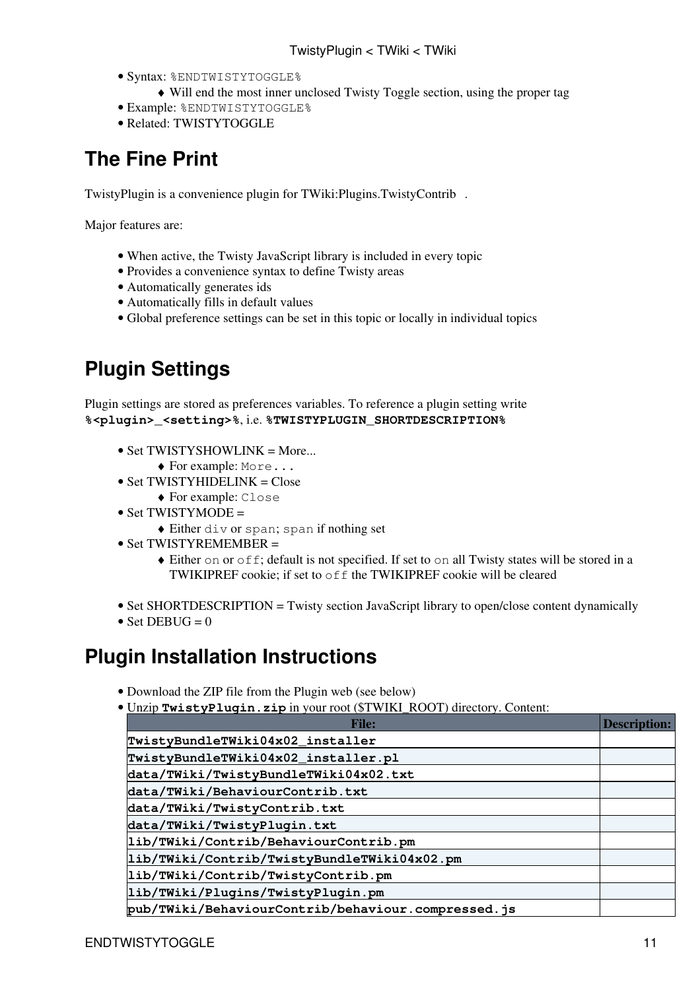- · Syntax: %ENDTWISTYTOGGLE%
	- ♦ Will end the most inner unclosed Twisty Toggle section, using the proper tag
- Example: %ENDTWISTYTOGGLE%
- Related: TWISTYTOGGLE

## <span id="page-11-0"></span>**The Fine Print**

TwistyPlugin is a convenience plugin for [TWiki:Plugins.TwistyContrib](http://twiki.org/cgi-bin/view/Plugins/TwistyContrib) .

Major features are:

- When active, the Twisty JavaScript library is included in every topic
- Provides a convenience syntax to define Twisty areas
- Automatically generates ids
- Automatically fills in default values
- Global preference settings can be set in this topic or locally in individual topics

## <span id="page-11-1"></span>**Plugin Settings**

Plugin settings are stored as preferences variables. To reference a plugin setting write **%<plugin>\_<setting>%**, i.e. **%TWISTYPLUGIN\_SHORTDESCRIPTION%**

- Set TWISTYSHOWLINK = More...
	- ♦ For example: More...
- Set TWISTYHIDELINK = Close
	- ♦ For example: Close
- Set TWISTYMODE =
	- ♦ Either div or span; span if nothing set
- Set TWISTYREMEMBER =
	- Either on or off; default is not specified. If set to on all Twisty states will be stored in a ♦ TWIKIPREF cookie; if set to off the TWIKIPREF cookie will be cleared
- Set SHORTDESCRIPTION = Twisty section JavaScript library to open/close content dynamically
- Set DEBUG =  $0$

### <span id="page-11-2"></span>**Plugin Installation Instructions**

- Download the ZIP file from the Plugin web (see below)
- Unzip **TwistyPlugin.zip** in your root (\$TWIKI\_ROOT) directory. Content: •

| <b>File:</b>                                       | <b>Description:</b> |
|----------------------------------------------------|---------------------|
| TwistyBundleTWiki04x02_installer                   |                     |
| TwistyBundleTWiki04x02_installer.pl                |                     |
| data/TWiki/TwistyBundleTWiki04x02.txt              |                     |
| data/TWiki/BehaviourContrib.txt                    |                     |
| data/TWiki/TwistyContrib.txt                       |                     |
| data/TWiki/TwistyPlugin.txt                        |                     |
| lib/TWiki/Contrib/BehaviourContrib.pm              |                     |
| lib/TWiki/Contrib/TwistyBundleTWiki04x02.pm        |                     |
| lib/TWiki/Contrib/TwistyContrib.pm                 |                     |
| lib/TWiki/Plugins/TwistyPlugin.pm                  |                     |
| pub/TWiki/BehaviourContrib/behaviour.compressed.js |                     |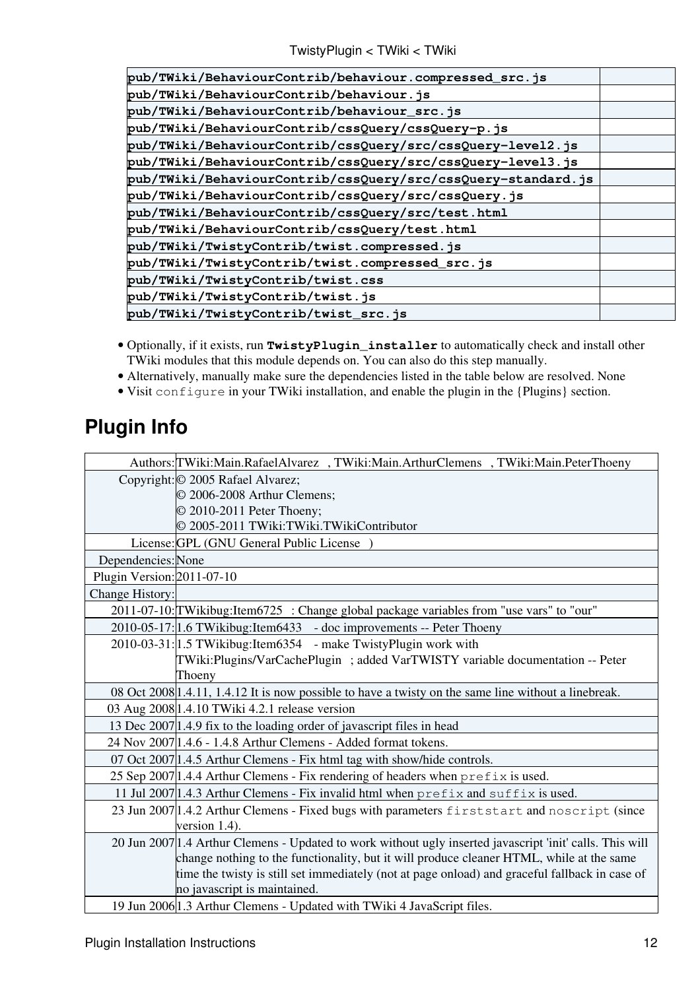TwistyPlugin < TWiki < TWiki

| pub/TWiki/BehaviourContrib/behaviour.compressed_src.js       |  |
|--------------------------------------------------------------|--|
| pub/TWiki/BehaviourContrib/behaviour.js                      |  |
| pub/TWiki/BehaviourContrib/behaviour_src.js                  |  |
| pub/TWiki/BehaviourContrib/cssQuery/cssQuery-p.js            |  |
| pub/TWiki/BehaviourContrib/cssQuery/src/cssQuery-level2.js   |  |
| pub/TWiki/BehaviourContrib/cssQuery/src/cssQuery-level3.js   |  |
| pub/TWiki/BehaviourContrib/cssQuery/src/cssQuery-standard.js |  |
| pub/TWiki/BehaviourContrib/cssQuery/src/cssQuery.js          |  |
| pub/TWiki/BehaviourContrib/cssQuery/src/test.html            |  |
| pub/TWiki/BehaviourContrib/cssQuery/test.html                |  |
| pub/TWiki/TwistyContrib/twist.compressed.js                  |  |
| pub/TWiki/TwistyContrib/twist.compressed_src.js              |  |
| pub/TWiki/TwistyContrib/twist.css                            |  |
| pub/TWiki/TwistyContrib/twist.js                             |  |
| pub/TWiki/TwistyContrib/twist_src.js                         |  |
|                                                              |  |

- Optionally, if it exists, run **TwistyPlugin\_installer** to automatically check and install other TWiki modules that this module depends on. You can also do this step manually.
- Alternatively, manually make sure the dependencies listed in the table below are resolved. None
- Visit configure in your TWiki installation, and enable the plugin in the {Plugins} section.

## <span id="page-12-0"></span>**Plugin Info**

|                            | Authors: TWiki: Main. Rafael Alvarez, TWiki: Main. Arthur Clemens, TWiki: Main. Peter Thoeny              |
|----------------------------|-----------------------------------------------------------------------------------------------------------|
|                            | Copyright: © 2005 Rafael Alvarez;                                                                         |
|                            | © 2006-2008 Arthur Clemens;                                                                               |
|                            | © 2010-2011 Peter Thoeny;                                                                                 |
|                            | © 2005-2011 TWiki:TWiki.TWikiContributor                                                                  |
|                            | License: GPL (GNU General Public License)                                                                 |
| Dependencies: None         |                                                                                                           |
| Plugin Version: 2011-07-10 |                                                                                                           |
| Change History:            |                                                                                                           |
|                            | 2011-07-10: TWikibug: Item 6725 : Change global package variables from "use vars" to "our"                |
|                            | 2010-05-17: 1.6 TWikibug: Item 6433 - doc improvements -- Peter Thoeny                                    |
|                            | 2010-03-31: 1.5 TWikibug: Item 6354 - make Twisty Plugin work with                                        |
|                            | TWiki:Plugins/VarCachePlugin ; added VarTWISTY variable documentation -- Peter                            |
|                            | Thoeny                                                                                                    |
|                            | 08 Oct 2008   1.4.11, 1.4.12 It is now possible to have a twisty on the same line without a linebreak.    |
|                            | 03 Aug 2008 1.4.10 TWiki 4.2.1 release version                                                            |
|                            | 13 Dec 2007 1.4.9 fix to the loading order of javascript files in head                                    |
|                            | 24 Nov 2007 1.4.6 - 1.4.8 Arthur Clemens - Added format tokens.                                           |
|                            | 07 Oct 2007 1.4.5 Arthur Clemens - Fix html tag with show/hide controls.                                  |
|                            | 25 Sep 2007   1.4.4 Arthur Clemens - Fix rendering of headers when prefix is used.                        |
|                            | 11 Jul 2007 1.4.3 Arthur Clemens - Fix invalid html when $\text{prefix}$ and $\text{suffix}$ is used.     |
|                            | 23 Jun 2007 1.4.2 Arthur Clemens - Fixed bugs with parameters firststart and noscript (since              |
|                            | version $1.4$ ).                                                                                          |
|                            | 20 Jun 2007 1.4 Arthur Clemens - Updated to work without ugly inserted javascript 'init' calls. This will |
|                            | change nothing to the functionality, but it will produce cleaner HTML, while at the same                  |
|                            | time the twisty is still set immediately (not at page onload) and graceful fallback in case of            |
|                            | no javascript is maintained.                                                                              |
|                            | 19 Jun 2006 1.3 Arthur Clemens - Updated with TWiki 4 JavaScript files.                                   |